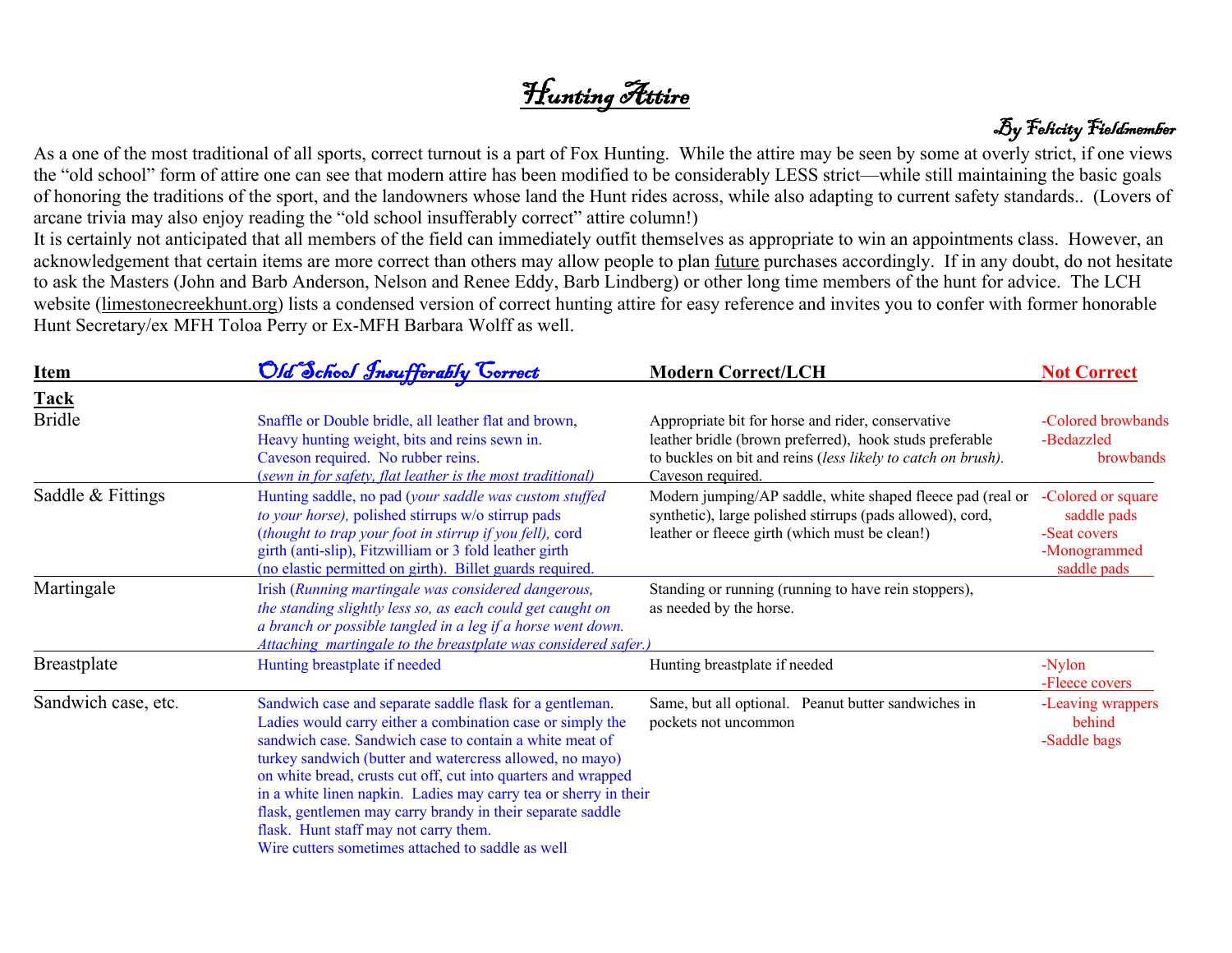# Hunting Attire



As a one of the most traditional of all sports, correct turnout is a part of Fox Hunting. While the attire may be seen by some at overly strict, if one views the "old school" form of attire one can see that modern attire has been modified to be considerably LESS strict—while still maintaining the basic goals of honoring the traditions of the sport, and the landowners whose land the Hunt rides across, while also adapting to current safety standards.. (Lovers of arcane trivia may also enjoy reading the "old school insufferably correct" attire column!)

It is certainly not anticipated that all members of the field can immediately outfit themselves as appropriate to win an appointments class. However, an acknowledgement that certain items are more correct than others may allow people to plan future purchases accordingly. If in any doubt, do not hesitate to ask the Masters (John and Barb Anderson, Nelson and Renee Eddy, Barb Lindberg) or other long time members of the hunt for advice. The LCH website (limestonecreekhunt.org) lists a condensed version of correct hunting attire for easy reference and invites you to confer with former honorable Hunt Secretary/ex MFH Toloa Perry or Ex-MFH Barbara Wolff as well.

| <b>Item</b>         | Old School Insufferably Correct                                                                                                                                                                                                                                                                                                                                                                                                                                                                                                                | <b>Modern Correct/LCH</b>                                                                                                                                                                         | <b>Not Correct</b>                                                               |
|---------------------|------------------------------------------------------------------------------------------------------------------------------------------------------------------------------------------------------------------------------------------------------------------------------------------------------------------------------------------------------------------------------------------------------------------------------------------------------------------------------------------------------------------------------------------------|---------------------------------------------------------------------------------------------------------------------------------------------------------------------------------------------------|----------------------------------------------------------------------------------|
| <b>Tack</b>         |                                                                                                                                                                                                                                                                                                                                                                                                                                                                                                                                                |                                                                                                                                                                                                   |                                                                                  |
| <b>Bridle</b>       | Snaffle or Double bridle, all leather flat and brown,<br>Heavy hunting weight, bits and reins sewn in.<br>Caveson required. No rubber reins.<br>(sewn in for safety, flat leather is the most traditional)                                                                                                                                                                                                                                                                                                                                     | Appropriate bit for horse and rider, conservative<br>leather bridle (brown preferred), hook studs preferable<br>to buckles on bit and reins (less likely to catch on brush).<br>Caveson required. | -Colored browbands<br>-Bedazzled<br><b>browbands</b>                             |
| Saddle & Fittings   | Hunting saddle, no pad (your saddle was custom stuffed<br>to your horse), polished stirrups w/o stirrup pads<br>(thought to trap your foot in stirrup if you fell), cord<br>girth (anti-slip), Fitzwilliam or 3 fold leather girth<br>(no elastic permitted on girth). Billet guards required.                                                                                                                                                                                                                                                 | Modern jumping/AP saddle, white shaped fleece pad (real or<br>synthetic), large polished stirrups (pads allowed), cord,<br>leather or fleece girth (which must be clean!)                         | -Colored or square<br>saddle pads<br>-Seat covers<br>-Monogrammed<br>saddle pads |
| Martingale          | Irish (Running martingale was considered dangerous,<br>the standing slightly less so, as each could get caught on<br>a branch or possible tangled in a leg if a horse went down.<br>Attaching martingale to the breastplate was considered safer.)                                                                                                                                                                                                                                                                                             | Standing or running (running to have rein stoppers),<br>as needed by the horse.                                                                                                                   |                                                                                  |
| <b>Breastplate</b>  | Hunting breastplate if needed                                                                                                                                                                                                                                                                                                                                                                                                                                                                                                                  | Hunting breastplate if needed                                                                                                                                                                     | -Nylon<br>-Fleece covers                                                         |
| Sandwich case, etc. | Sandwich case and separate saddle flask for a gentleman.<br>Ladies would carry either a combination case or simply the<br>sandwich case. Sandwich case to contain a white meat of<br>turkey sandwich (butter and watercress allowed, no mayo)<br>on white bread, crusts cut off, cut into quarters and wrapped<br>in a white linen napkin. Ladies may carry tea or sherry in their<br>flask, gentlemen may carry brandy in their separate saddle<br>flask. Hunt staff may not carry them.<br>Wire cutters sometimes attached to saddle as well | Same, but all optional. Peanut butter sandwiches in<br>pockets not uncommon                                                                                                                       | -Leaving wrappers<br>behind<br>-Saddle bags                                      |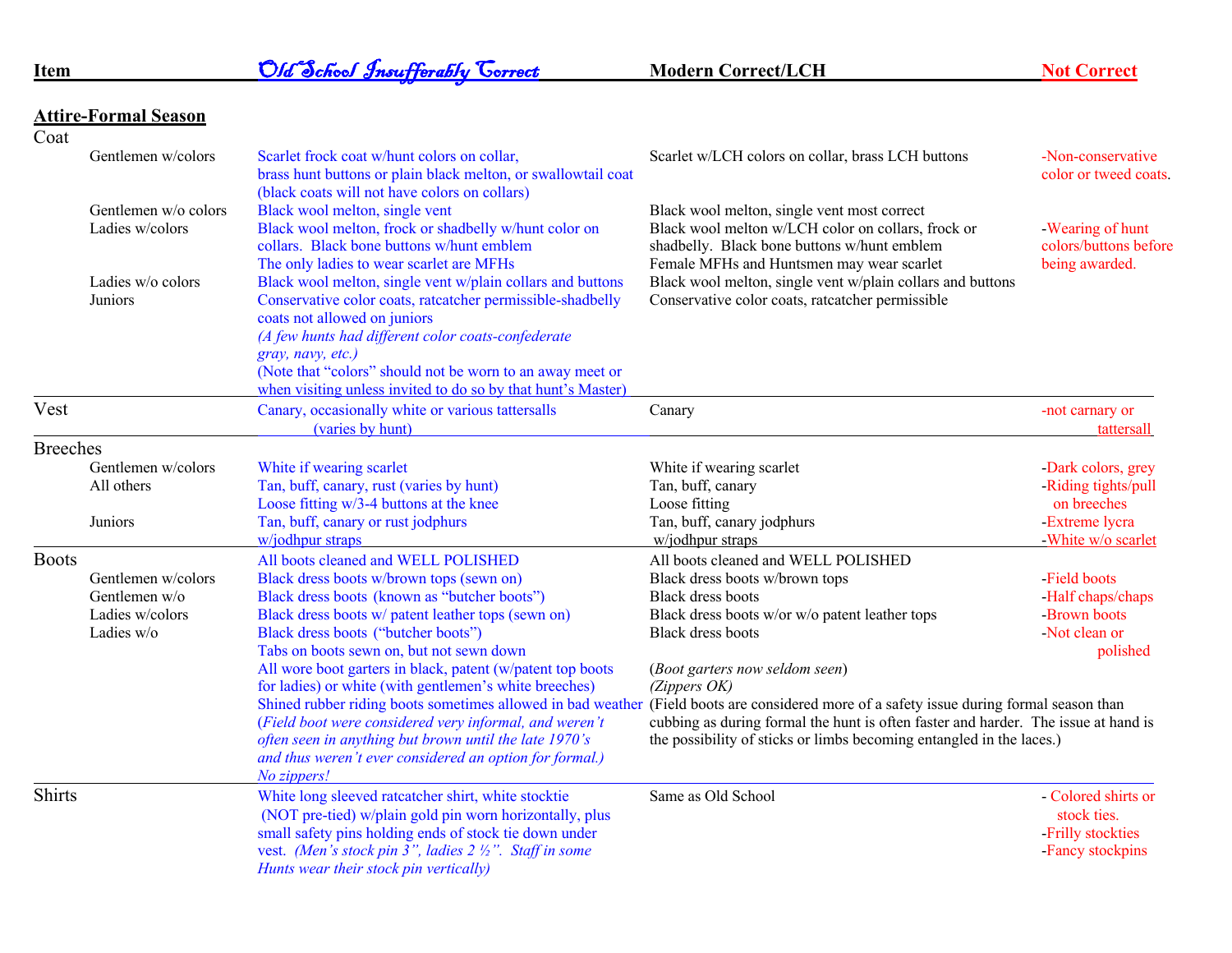| Item            |                                         | Old School Insufferably Correct                                                                                                                                                                                                                                                                                                                                  | <b>Modern Correct/LCH</b>                                                                                                                                                                                                                  | <b>Not Correct</b>                                                                |
|-----------------|-----------------------------------------|------------------------------------------------------------------------------------------------------------------------------------------------------------------------------------------------------------------------------------------------------------------------------------------------------------------------------------------------------------------|--------------------------------------------------------------------------------------------------------------------------------------------------------------------------------------------------------------------------------------------|-----------------------------------------------------------------------------------|
|                 | <b>Attire-Formal Season</b>             |                                                                                                                                                                                                                                                                                                                                                                  |                                                                                                                                                                                                                                            |                                                                                   |
| Coat            |                                         |                                                                                                                                                                                                                                                                                                                                                                  |                                                                                                                                                                                                                                            |                                                                                   |
|                 | Gentlemen w/colors                      | Scarlet frock coat w/hunt colors on collar,<br>brass hunt buttons or plain black melton, or swallowtail coat<br>(black coats will not have colors on collars)                                                                                                                                                                                                    | Scarlet w/LCH colors on collar, brass LCH buttons                                                                                                                                                                                          | -Non-conservative<br>color or tweed coats.                                        |
|                 | Gentlemen w/o colors<br>Ladies w/colors | Black wool melton, single vent<br>Black wool melton, frock or shadbelly w/hunt color on<br>collars. Black bone buttons w/hunt emblem<br>The only ladies to wear scarlet are MFHs                                                                                                                                                                                 | Black wool melton, single vent most correct<br>Black wool melton w/LCH color on collars, frock or<br>shadbelly. Black bone buttons w/hunt emblem<br>Female MFHs and Huntsmen may wear scarlet                                              | - Wearing of hunt<br>colors/buttons before<br>being awarded.                      |
|                 | Ladies w/o colors<br>Juniors            | Black wool melton, single vent w/plain collars and buttons<br>Conservative color coats, rateatcher permissible-shadbelly<br>coats not allowed on juniors<br>(A few hunts had different color coats-confederate<br>gray, navy, etc.)<br>(Note that "colors" should not be worn to an away meet or<br>when visiting unless invited to do so by that hunt's Master) | Black wool melton, single vent w/plain collars and buttons<br>Conservative color coats, rateatcher permissible                                                                                                                             |                                                                                   |
| Vest            |                                         | Canary, occasionally white or various tattersalls<br>(varies by hunt)                                                                                                                                                                                                                                                                                            | Canary                                                                                                                                                                                                                                     | -not carnary or<br>tattersall                                                     |
| <b>Breeches</b> |                                         |                                                                                                                                                                                                                                                                                                                                                                  |                                                                                                                                                                                                                                            |                                                                                   |
|                 | Gentlemen w/colors                      | White if wearing scarlet                                                                                                                                                                                                                                                                                                                                         | White if wearing scarlet                                                                                                                                                                                                                   | -Dark colors, grey                                                                |
|                 | All others                              | Tan, buff, canary, rust (varies by hunt)                                                                                                                                                                                                                                                                                                                         | Tan, buff, canary                                                                                                                                                                                                                          | -Riding tights/pull                                                               |
|                 |                                         | Loose fitting w/3-4 buttons at the knee                                                                                                                                                                                                                                                                                                                          | Loose fitting                                                                                                                                                                                                                              | on breeches                                                                       |
|                 | Juniors                                 | Tan, buff, canary or rust jodphurs                                                                                                                                                                                                                                                                                                                               | Tan, buff, canary jodphurs                                                                                                                                                                                                                 | -Extreme lycra                                                                    |
|                 |                                         | w/jodhpur straps                                                                                                                                                                                                                                                                                                                                                 | w/jodhpur straps                                                                                                                                                                                                                           | -White w/o scarlet                                                                |
| <b>Boots</b>    |                                         | All boots cleaned and WELL POLISHED                                                                                                                                                                                                                                                                                                                              | All boots cleaned and WELL POLISHED                                                                                                                                                                                                        |                                                                                   |
|                 | Gentlemen w/colors                      | Black dress boots w/brown tops (sewn on)                                                                                                                                                                                                                                                                                                                         | Black dress boots w/brown tops                                                                                                                                                                                                             | Field boots                                                                       |
|                 | Gentlemen w/o                           | Black dress boots (known as "butcher boots")                                                                                                                                                                                                                                                                                                                     | <b>Black dress boots</b>                                                                                                                                                                                                                   | -Half chaps/chaps                                                                 |
|                 | Ladies w/colors                         | Black dress boots w/ patent leather tops (sewn on)                                                                                                                                                                                                                                                                                                               | Black dress boots w/or w/o patent leather tops                                                                                                                                                                                             | -Brown boots                                                                      |
|                 | Ladies w/o                              | Black dress boots ("butcher boots")                                                                                                                                                                                                                                                                                                                              | <b>Black dress boots</b>                                                                                                                                                                                                                   | -Not clean or                                                                     |
|                 |                                         | Tabs on boots sewn on, but not sewn down                                                                                                                                                                                                                                                                                                                         |                                                                                                                                                                                                                                            | polished                                                                          |
|                 |                                         | All wore boot garters in black, patent (w/patent top boots<br>for ladies) or white (with gentlemen's white breeches)                                                                                                                                                                                                                                             | (Boot garters now seldom seen)<br>$(Zi$ <i>ppers</i> $OK)$                                                                                                                                                                                 |                                                                                   |
|                 |                                         | Shined rubber riding boots sometimes allowed in bad weather<br>(Field boot were considered very informal, and weren't<br>often seen in anything but brown until the late 1970's<br>and thus weren't ever considered an option for formal.)<br>No zippers!                                                                                                        | (Field boots are considered more of a safety issue during formal season than<br>cubbing as during formal the hunt is often faster and harder. The issue at hand is<br>the possibility of sticks or limbs becoming entangled in the laces.) |                                                                                   |
| <b>Shirts</b>   |                                         | White long sleeved rateatcher shirt, white stocktie<br>(NOT pre-tied) w/plain gold pin worn horizontally, plus<br>small safety pins holding ends of stock tie down under<br>vest. (Men's stock pin 3", ladies 2 1/2". Staff in some<br>Hunts wear their stock pin vertically)                                                                                    | Same as Old School                                                                                                                                                                                                                         | - Colored shirts or<br>stock ties.<br>-Frilly stockties<br><b>Fancy stockpins</b> |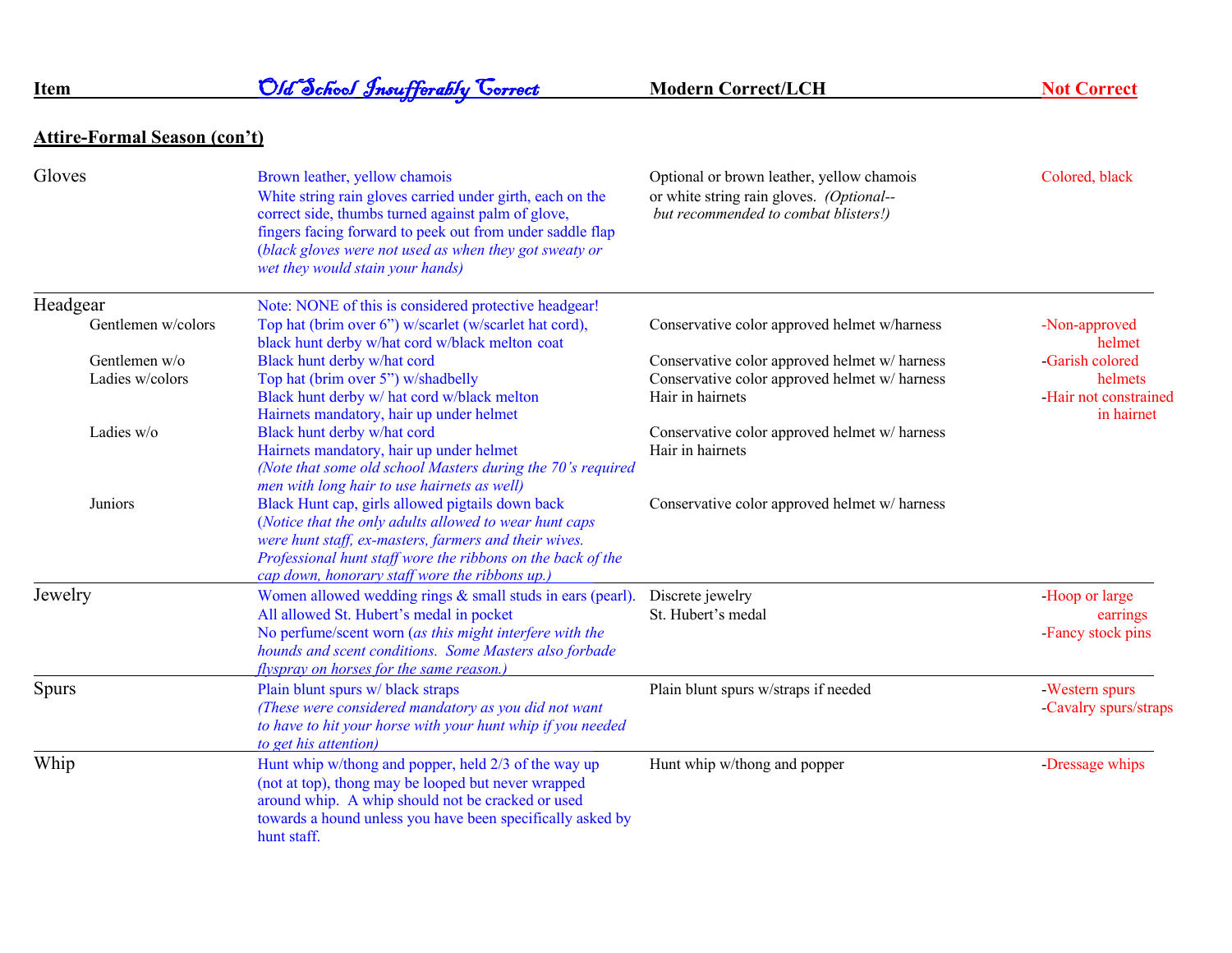## **Item Old School Insufferably Correct** Modern Correct/LCH Not Correct

## **Attire-Formal Season (con't)**

| Gloves             | Brown leather, yellow chamois<br>White string rain gloves carried under girth, each on the<br>correct side, thumbs turned against palm of glove,<br>fingers facing forward to peek out from under saddle flap<br>(black gloves were not used as when they got sweaty or<br>wet they would stain your hands) | Optional or brown leather, yellow chamois<br>or white string rain gloves. (Optional--<br>but recommended to combat blisters!) | Colored, black               |
|--------------------|-------------------------------------------------------------------------------------------------------------------------------------------------------------------------------------------------------------------------------------------------------------------------------------------------------------|-------------------------------------------------------------------------------------------------------------------------------|------------------------------|
| Headgear           | Note: NONE of this is considered protective headgear!                                                                                                                                                                                                                                                       |                                                                                                                               |                              |
| Gentlemen w/colors | Top hat (brim over 6") w/scarlet (w/scarlet hat cord),<br>black hunt derby w/hat cord w/black melton coat                                                                                                                                                                                                   | Conservative color approved helmet w/harness                                                                                  | -Non-approved<br>helmet      |
| Gentlemen $w/o$    | Black hunt derby w/hat cord                                                                                                                                                                                                                                                                                 | Conservative color approved helmet w/ harness                                                                                 | <b>Garish colored</b>        |
| Ladies w/colors    | Top hat (brim over 5") w/shadbelly                                                                                                                                                                                                                                                                          | Conservative color approved helmet w/ harness                                                                                 | helmets                      |
|                    | Black hunt derby w/ hat cord w/black melton                                                                                                                                                                                                                                                                 | Hair in hairnets                                                                                                              | -Hair not constrained        |
|                    | Hairnets mandatory, hair up under helmet                                                                                                                                                                                                                                                                    |                                                                                                                               | in hairnet                   |
| Ladies w/o         | Black hunt derby w/hat cord                                                                                                                                                                                                                                                                                 | Conservative color approved helmet w/ harness                                                                                 |                              |
|                    | Hairnets mandatory, hair up under helmet                                                                                                                                                                                                                                                                    | Hair in hairnets                                                                                                              |                              |
|                    | (Note that some old school Masters during the 70's required                                                                                                                                                                                                                                                 |                                                                                                                               |                              |
|                    | men with long hair to use hairnets as well)                                                                                                                                                                                                                                                                 |                                                                                                                               |                              |
| Juniors            | Black Hunt cap, girls allowed pigtails down back                                                                                                                                                                                                                                                            | Conservative color approved helmet w/ harness                                                                                 |                              |
|                    | (Notice that the only adults allowed to wear hunt caps                                                                                                                                                                                                                                                      |                                                                                                                               |                              |
|                    | were hunt staff, ex-masters, farmers and their wives.                                                                                                                                                                                                                                                       |                                                                                                                               |                              |
|                    | Professional hunt staff wore the ribbons on the back of the<br>cap down, honorary staff wore the ribbons up.                                                                                                                                                                                                |                                                                                                                               |                              |
| Jewelry            | Women allowed wedding rings & small studs in ears (pearl).                                                                                                                                                                                                                                                  | Discrete jewelry                                                                                                              | -Hoop or large               |
|                    | All allowed St. Hubert's medal in pocket                                                                                                                                                                                                                                                                    | St. Hubert's medal                                                                                                            |                              |
|                    | No perfume/scent worn (as this might interfere with the                                                                                                                                                                                                                                                     |                                                                                                                               | earrings<br>Fancy stock pins |
|                    | hounds and scent conditions. Some Masters also forbade                                                                                                                                                                                                                                                      |                                                                                                                               |                              |
|                    | flyspray on horses for the same reason.)                                                                                                                                                                                                                                                                    |                                                                                                                               |                              |
| <b>Spurs</b>       | Plain blunt spurs w/ black straps                                                                                                                                                                                                                                                                           | Plain blunt spurs w/straps if needed                                                                                          | -Western spurs               |
|                    | (These were considered mandatory as you did not want                                                                                                                                                                                                                                                        |                                                                                                                               | -Cavalry spurs/straps        |
|                    | to have to hit your horse with your hunt whip if you needed                                                                                                                                                                                                                                                 |                                                                                                                               |                              |
|                    | to get his attention)                                                                                                                                                                                                                                                                                       |                                                                                                                               |                              |
| Whip               | Hunt whip w/thong and popper, held 2/3 of the way up                                                                                                                                                                                                                                                        | Hunt whip w/thong and popper                                                                                                  | Dressage whips               |
|                    | (not at top), thong may be looped but never wrapped                                                                                                                                                                                                                                                         |                                                                                                                               |                              |
|                    | around whip. A whip should not be cracked or used                                                                                                                                                                                                                                                           |                                                                                                                               |                              |
|                    | towards a hound unless you have been specifically asked by                                                                                                                                                                                                                                                  |                                                                                                                               |                              |
|                    | hunt staff.                                                                                                                                                                                                                                                                                                 |                                                                                                                               |                              |